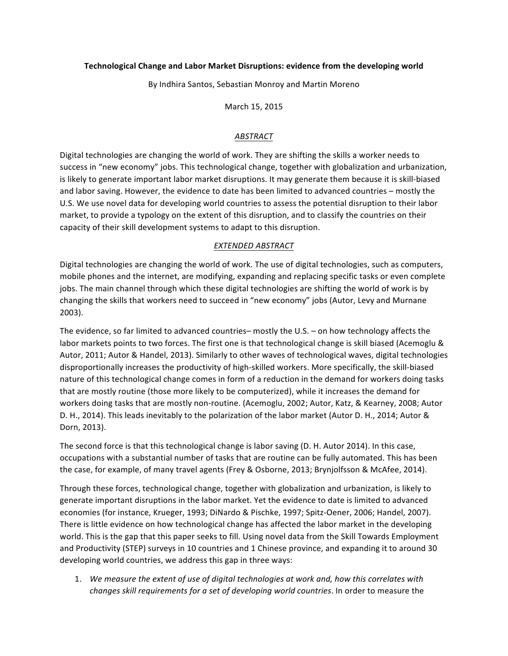# Technological Change and Labor Market Disruptions: evidence from the developing world

By Indhira Santos, Sebastian Monroy and Martin Moreno

March 15, 2015

# *ABSTRACT*

Digital technologies are changing the world of work. They are shifting the skills a worker needs to success in "new economy" jobs. This technological change, together with globalization and urbanization, is likely to generate important labor market disruptions. It may generate them because it is skill-biased and labor saving. However, the evidence to date has been limited to advanced countries – mostly the U.S. We use novel data for developing world countries to assess the potential disruption to their labor market, to provide a typology on the extent of this disruption, and to classify the countries on their capacity of their skill development systems to adapt to this disruption.

# *EXTENDED ABSTRACT*

Digital technologies are changing the world of work. The use of digital technologies, such as computers, mobile phones and the internet, are modifying, expanding and replacing specific tasks or even complete jobs. The main channel through which these digital technologies are shifting the world of work is by changing the skills that workers need to succeed in "new economy" jobs (Autor, Levy and Murnane 2003). 

The evidence, so far limited to advanced countries– mostly the U.S. – on how technology affects the labor markets points to two forces. The first one is that technological change is skill biased (Acemoglu & Autor, 2011; Autor & Handel, 2013). Similarly to other waves of technological waves, digital technologies disproportionally increases the productivity of high-skilled workers. More specifically, the skill-biased nature of this technological change comes in form of a reduction in the demand for workers doing tasks that are mostly routine (those more likely to be computerized), while it increases the demand for workers doing tasks that are mostly non-routine. (Acemoglu, 2002; Autor, Katz, & Kearney, 2008; Autor D. H., 2014). This leads inevitably to the polarization of the labor market (Autor D. H., 2014; Autor & Dorn, 2013).

The second force is that this technological change is labor saving (D. H. Autor 2014). In this case, occupations with a substantial number of tasks that are routine can be fully automated. This has been the case, for example, of many travel agents (Frey & Osborne, 2013; Brynjolfsson & McAfee, 2014).

Through these forces, technological change, together with globalization and urbanization, is likely to generate important disruptions in the labor market. Yet the evidence to date is limited to advanced economies (for instance, Krueger, 1993; DiNardo & Pischke, 1997; Spitz-Oener, 2006; Handel, 2007). There is little evidence on how technological change has affected the labor market in the developing world. This is the gap that this paper seeks to fill. Using novel data from the Skill Towards Employment and Productivity (STEP) surveys in 10 countries and 1 Chinese province, and expanding it to around 30 developing world countries, we address this gap in three ways:

1. We measure the extent of use of digital technologies at work and, how this correlates with *changes skill requirements for a set of developing world countries*. In order to measure the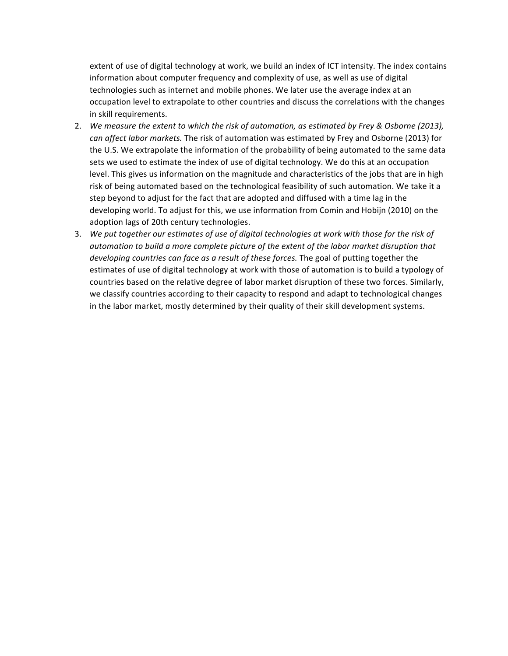extent of use of digital technology at work, we build an index of ICT intensity. The index contains information about computer frequency and complexity of use, as well as use of digital technologies such as internet and mobile phones. We later use the average index at an occupation level to extrapolate to other countries and discuss the correlations with the changes in skill requirements.

- 2. We measure the extent to which the risk of automation, as estimated by Frey & Osborne (2013), *can affect labor markets.* The risk of automation was estimated by Frey and Osborne (2013) for the U.S. We extrapolate the information of the probability of being automated to the same data sets we used to estimate the index of use of digital technology. We do this at an occupation level. This gives us information on the magnitude and characteristics of the jobs that are in high risk of being automated based on the technological feasibility of such automation. We take it a step beyond to adjust for the fact that are adopted and diffused with a time lag in the developing world. To adjust for this, we use information from Comin and Hobijn (2010) on the adoption lags of 20th century technologies.
- 3. We put together our estimates of use of digital technologies at work with those for the risk of automation to build a more complete picture of the extent of the labor market disruption that *developing countries can face as a result of these forces.* The goal of putting together the estimates of use of digital technology at work with those of automation is to build a typology of countries based on the relative degree of labor market disruption of these two forces. Similarly, we classify countries according to their capacity to respond and adapt to technological changes in the labor market, mostly determined by their quality of their skill development systems.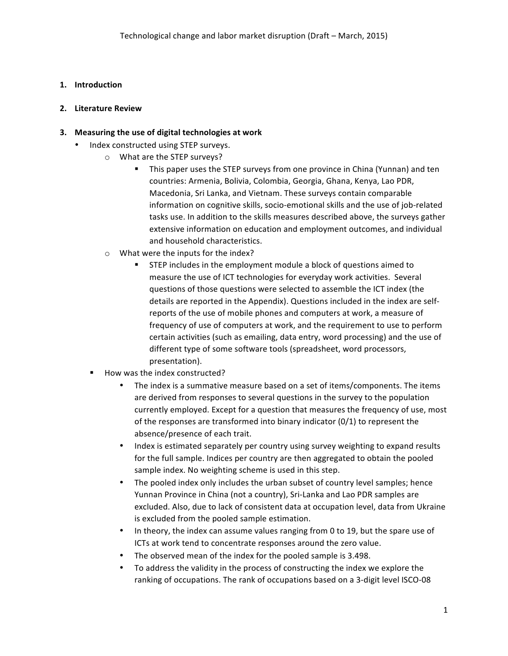# **1. Introduction**

# **2. Literature Review**

# **3.** Measuring the use of digital technologies at work

- Index constructed using STEP surveys.
	- $\circ$  What are the STEP surveys?
		- This paper uses the STEP surveys from one province in China (Yunnan) and ten countries: Armenia, Bolivia, Colombia, Georgia, Ghana, Kenya, Lao PDR, Macedonia, Sri Lanka, and Vietnam. These surveys contain comparable information on cognitive skills, socio-emotional skills and the use of job-related tasks use. In addition to the skills measures described above, the surveys gather extensive information on education and employment outcomes, and individual and household characteristics.
	- $\circ$  What were the inputs for the index?
		- STEP includes in the employment module a block of questions aimed to measure the use of ICT technologies for everyday work activities. Several questions of those questions were selected to assemble the ICT index (the details are reported in the Appendix). Questions included in the index are selfreports of the use of mobile phones and computers at work, a measure of frequency of use of computers at work, and the requirement to use to perform certain activities (such as emailing, data entry, word processing) and the use of different type of some software tools (spreadsheet, word processors, presentation).
	- How was the index constructed?
		- The index is a summative measure based on a set of items/components. The items are derived from responses to several questions in the survey to the population currently employed. Except for a question that measures the frequency of use, most of the responses are transformed into binary indicator  $(0/1)$  to represent the absence/presence of each trait.
		- Index is estimated separately per country using survey weighting to expand results for the full sample. Indices per country are then aggregated to obtain the pooled sample index. No weighting scheme is used in this step.
		- The pooled index only includes the urban subset of country level samples; hence Yunnan Province in China (not a country), Sri-Lanka and Lao PDR samples are excluded. Also, due to lack of consistent data at occupation level, data from Ukraine is excluded from the pooled sample estimation.
		- In theory, the index can assume values ranging from 0 to 19, but the spare use of ICTs at work tend to concentrate responses around the zero value.
		- The observed mean of the index for the pooled sample is 3.498.
		- To address the validity in the process of constructing the index we explore the ranking of occupations. The rank of occupations based on a 3-digit level ISCO-08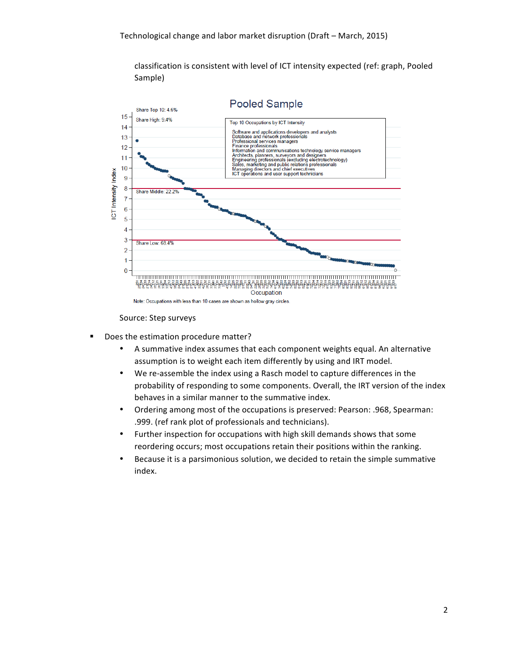classification is consistent with level of ICT intensity expected (ref: graph, Pooled Sample)



Source: Step surveys

- Does the estimation procedure matter?
	- A summative index assumes that each component weights equal. An alternative assumption is to weight each item differently by using and IRT model.
	- We re-assemble the index using a Rasch model to capture differences in the probability of responding to some components. Overall, the IRT version of the index behaves in a similar manner to the summative index.
	- Ordering among most of the occupations is preserved: Pearson: .968, Spearman: .999. (ref rank plot of professionals and technicians).
	- Further inspection for occupations with high skill demands shows that some reordering occurs; most occupations retain their positions within the ranking.
	- Because it is a parsimonious solution, we decided to retain the simple summative index.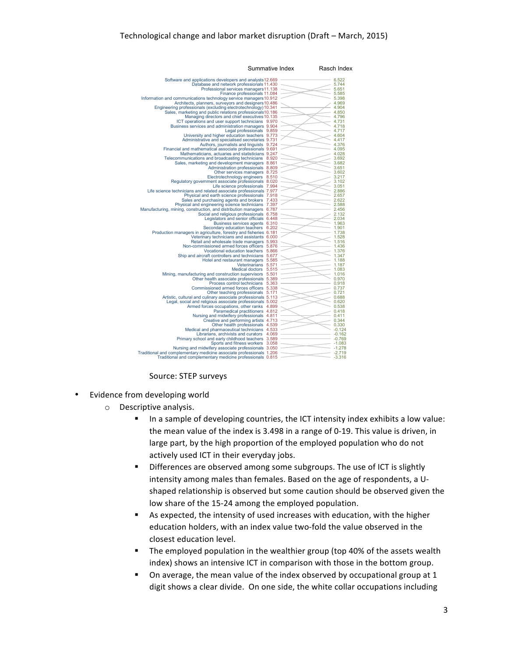| Summative Index                                                                                                            |  | Rasch Index          |
|----------------------------------------------------------------------------------------------------------------------------|--|----------------------|
| Software and applications developers and analysts12.669                                                                    |  | 6.522                |
| Database and network professionals 11.430                                                                                  |  | 5.744                |
| Professional services managers 11.138                                                                                      |  | 5.651                |
| Finance professionals 11.084                                                                                               |  | 5.585                |
| Information and communications technology service managers 10.912                                                          |  | 5.398                |
| Architects, planners, surveyors and designers 10.486                                                                       |  | 4.969                |
| Engineering professionals (excluding electrotechnology) 10.341                                                             |  | 4.904                |
| Sales, marketing and public relations professionals10.186                                                                  |  | 4.850                |
| Managing directors and chief executives 10.135                                                                             |  | 4.796                |
| ICT operations and user support technicians 9.970<br>Business services and administration managers 9.904                   |  | 4.731<br>4.718       |
| Legal professionals 9.859                                                                                                  |  | 4.717                |
| University and higher education teachers 9.773                                                                             |  | 4.604                |
| Administrative and specialised secretaries 9.731                                                                           |  | 4.417                |
| Authors, journalists and linguists 9.724                                                                                   |  | 4.376                |
| Financial and mathematical associate professionals 9.691                                                                   |  | 4.095                |
| Mathematicians, actuaries and statisticians 9.247                                                                          |  | 4.028                |
| Telecommunications and broadcasting technicians 8.920                                                                      |  | 3.692                |
| Sales, marketing and development managers 8.861                                                                            |  | 3.682                |
| Administration professionals 8.809                                                                                         |  | 3.651                |
| Other services managers 8.725                                                                                              |  | 3.602                |
| Electrotechnology engineers 8.510                                                                                          |  | 3.217                |
| Regulatory government associate professionals 8.020                                                                        |  | 3.102                |
| Life science professionals 7.994                                                                                           |  | 3.051                |
| Life science technicians and related associate professionals 7.977                                                         |  | 2.886                |
| Physical and earth science professionals 7.918                                                                             |  | 2.657                |
| Sales and purchasing agents and brokers 7.433                                                                              |  | 2.622<br>2.588       |
| Physical and engineering science technicians 7.397<br>Manufacturing, mining, construction, and distribution managers 6.787 |  | 2.456                |
| Social and religious professionals 6.758                                                                                   |  | 2.132                |
| Legislators and senior officials 6.448                                                                                     |  | 2.034                |
| Business services agents 6.310                                                                                             |  | 1.963                |
| Secondary education teachers 6.202                                                                                         |  | 1.901                |
| Production managers in agriculture, forestry and fisheries 6.181                                                           |  | 1.738                |
| Veterinary technicians and assistants 6.000                                                                                |  | 1.528                |
| Retail and wholesale trade managers 5.993                                                                                  |  | 1.516                |
| Non-commissioned armed forces officers 5.876                                                                               |  | 1.436                |
| Vocational education teachers 5.866                                                                                        |  | 1.376                |
| Ship and aircraft controllers and technicians 5.677                                                                        |  | 1.347                |
| Hotel and restaurant managers 5.585                                                                                        |  | 1.188                |
| Veterinarians 5.571                                                                                                        |  | 1.187                |
| Medical doctors 5.515<br>Mining, manufacturing and construction supervisors 5.501                                          |  | 1.083<br>1.016       |
| Other health associate professionals 5.389                                                                                 |  | 0.970                |
| Process control technicians 5.363                                                                                          |  | 0.918                |
| Commissioned armed forces officers 5.338                                                                                   |  | 0.737                |
| Other teaching professionals 5.171                                                                                         |  | 0.721                |
| Artistic, cultural and culinary associate professionals 5.113                                                              |  | 0.688                |
| Legal, social and religious associate professionals 5.002                                                                  |  | 0.620                |
| Armed forces occupations, other ranks 4.899                                                                                |  | 0.538                |
| Paramedical practitioners 4.812                                                                                            |  | 0.418                |
| Nursing and midwifery professionals 4.811                                                                                  |  | 0.411                |
| Creative and performing artists 4.713                                                                                      |  | 0.344                |
| Other health professionals 4.539                                                                                           |  | 0.330                |
| Medical and pharmaceutical technicians 4.533                                                                               |  | $-0.124$             |
| Librarians, archivists and curators 4.069                                                                                  |  | $-0.162$             |
| Primary school and early childhood teachers 3.589<br>Sports and fitness workers 3.058                                      |  | $-0.769$<br>$-1.083$ |
| Nursing and midwifery associate professionals 3.050                                                                        |  | $-1.278$             |
| Traditional and complementary medicine associate professionals 1.206                                                       |  | $-2.719$             |
| Traditional and complementary medicine professionals 0.815                                                                 |  | $-3.316$             |
|                                                                                                                            |  |                      |

Source: STEP surveys

- Evidence from developing world
	- $\circ$  Descriptive analysis.
		- **•** In a sample of developing countries, the ICT intensity index exhibits a low value: the mean value of the index is 3.498 in a range of 0-19. This value is driven, in large part, by the high proportion of the employed population who do not actively used ICT in their everyday jobs.
		- Differences are observed among some subgroups. The use of ICT is slightly intensity among males than females. Based on the age of respondents, a Ushaped relationship is observed but some caution should be observed given the low share of the 15-24 among the employed population.
		- As expected, the intensity of used increases with education, with the higher education holders, with an index value two-fold the value observed in the closest education level.
		- The employed population in the wealthier group (top 40% of the assets wealth index) shows an intensive ICT in comparison with those in the bottom group.
		- On average, the mean value of the index observed by occupational group at 1 digit shows a clear divide. On one side, the white collar occupations including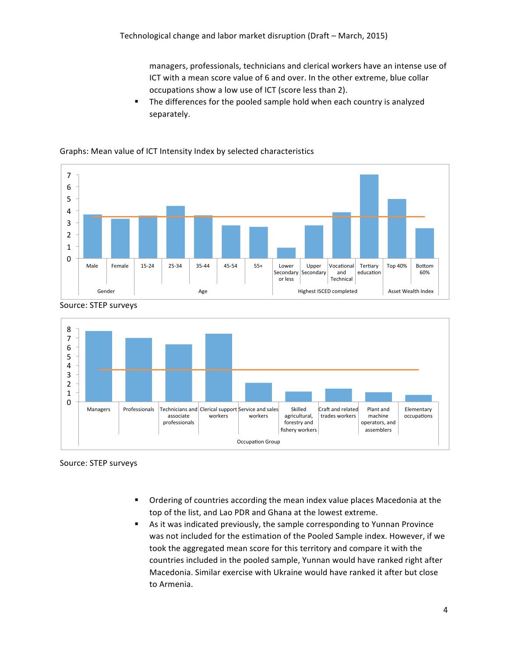managers, professionals, technicians and clerical workers have an intense use of ICT with a mean score value of 6 and over. In the other extreme, blue collar occupations show a low use of ICT (score less than 2).

■ The differences for the pooled sample hold when each country is analyzed separately. 

#### $\overline{0}$ 1 2 3 4 5 6 7 Male Female 15-24 25-34 35-44 45-54 55+ Lower Secondary or less Upper **Secondary** Vocational and Technical Tertiary education Top 40% | Bottom 60% Gender **Age** Age **Highest ISCED** completed **Asset Wealth Index** Asset Wealth Index



Graphs: Mean value of ICT Intensity Index by selected characteristics



Source: STEP surveys

Source: STEP surveys

- Ordering of countries according the mean index value places Macedonia at the top of the list, and Lao PDR and Ghana at the lowest extreme.
- **•** As it was indicated previously, the sample corresponding to Yunnan Province was not included for the estimation of the Pooled Sample index. However, if we took the aggregated mean score for this territory and compare it with the countries included in the pooled sample, Yunnan would have ranked right after Macedonia. Similar exercise with Ukraine would have ranked it after but close to Armenia.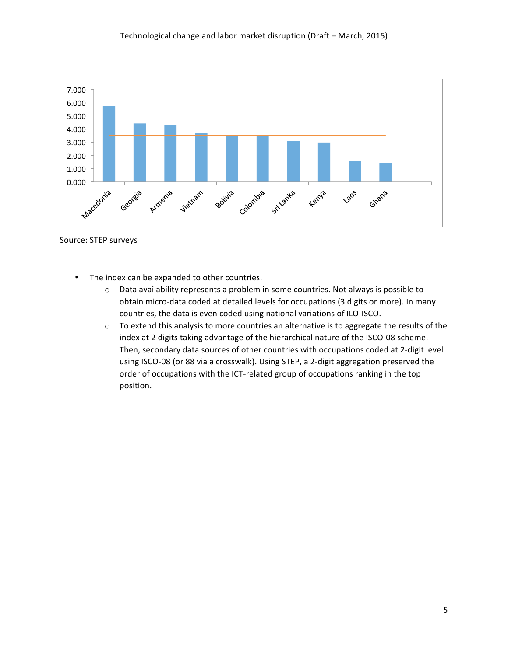

Source: STEP surveys

- The index can be expanded to other countries.
	- $\circ$  Data availability represents a problem in some countries. Not always is possible to obtain micro-data coded at detailed levels for occupations (3 digits or more). In many countries, the data is even coded using national variations of ILO-ISCO.
	- $\circ$  To extend this analysis to more countries an alternative is to aggregate the results of the index at 2 digits taking advantage of the hierarchical nature of the ISCO-08 scheme. Then, secondary data sources of other countries with occupations coded at 2-digit level using ISCO-08 (or 88 via a crosswalk). Using STEP, a 2-digit aggregation preserved the order of occupations with the ICT-related group of occupations ranking in the top position.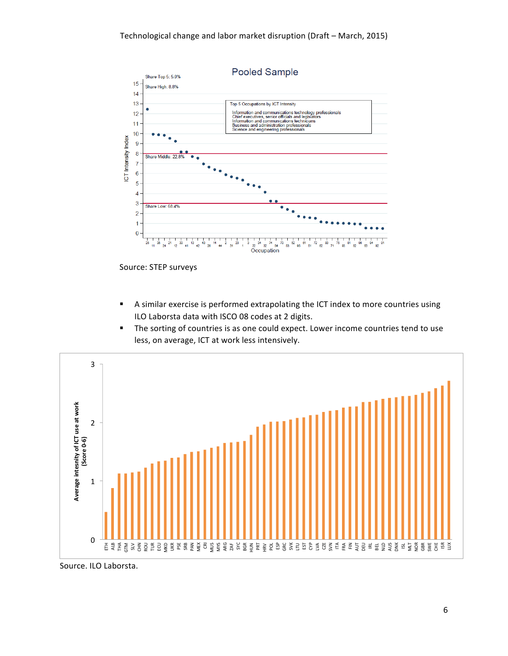

Source: STEP surveys

- A similar exercise is performed extrapolating the ICT index to more countries using ILO Laborsta data with ISCO 08 codes at 2 digits.
- The sorting of countries is as one could expect. Lower income countries tend to use less, on average, ICT at work less intensively.



Source. ILO Laborsta.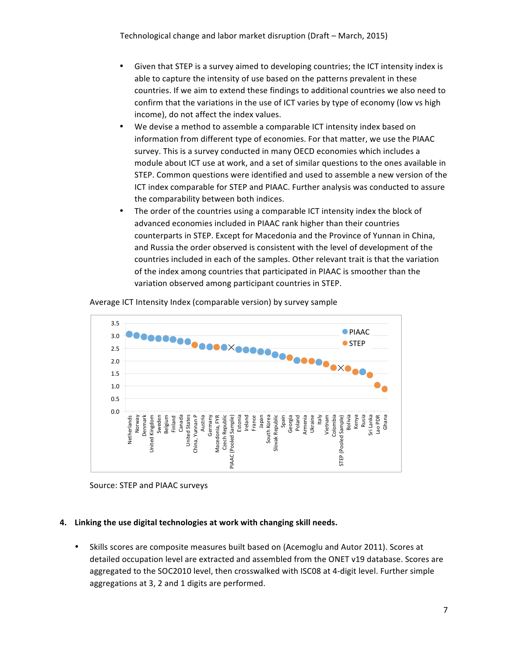- Given that STEP is a survey aimed to developing countries; the ICT intensity index is able to capture the intensity of use based on the patterns prevalent in these countries. If we aim to extend these findings to additional countries we also need to confirm that the variations in the use of ICT varies by type of economy (low vs high income), do not affect the index values.
- We devise a method to assemble a comparable ICT intensity index based on information from different type of economies. For that matter, we use the PIAAC survey. This is a survey conducted in many OECD economies which includes a module about ICT use at work, and a set of similar questions to the ones available in STEP. Common questions were identified and used to assemble a new version of the ICT index comparable for STEP and PIAAC. Further analysis was conducted to assure the comparability between both indices.
- The order of the countries using a comparable ICT intensity index the block of advanced economies included in PIAAC rank higher than their countries counterparts in STEP. Except for Macedonia and the Province of Yunnan in China, and Russia the order observed is consistent with the level of development of the countries included in each of the samples. Other relevant trait is that the variation of the index among countries that participated in PIAAC is smoother than the variation observed among participant countries in STEP.



Average ICT Intensity Index (comparable version) by survey sample



#### **4.** Linking the use digital technologies at work with changing skill needs.

• Skills scores are composite measures built based on (Acemoglu and Autor 2011). Scores at detailed occupation level are extracted and assembled from the ONET v19 database. Scores are aggregated to the SOC2010 level, then crosswalked with ISC08 at 4-digit level. Further simple aggregations at 3, 2 and 1 digits are performed.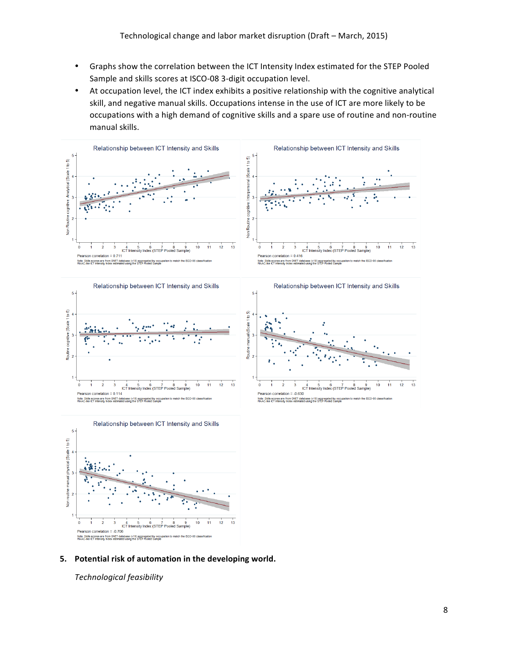- Graphs show the correlation between the ICT Intensity Index estimated for the STEP Pooled Sample and skills scores at ISCO-08 3-digit occupation level.
- At occupation level, the ICT index exhibits a positive relationship with the cognitive analytical skill, and negative manual skills. Occupations intense in the use of ICT are more likely to be occupations with a high demand of cognitive skills and a spare use of routine and non-routine manual skills.









5. Potential risk of automation in the developing world.

*Technological feasibility*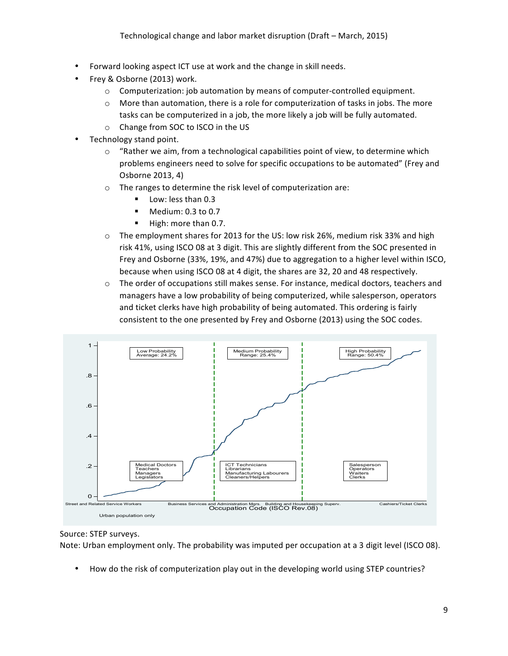- Forward looking aspect ICT use at work and the change in skill needs.
- Frey & Osborne (2013) work.
	- $\circ$  Computerization: job automation by means of computer-controlled equipment.
	- $\circ$  More than automation, there is a role for computerization of tasks in jobs. The more tasks can be computerized in a job, the more likely a job will be fully automated.
	- $\circ$  Change from SOC to ISCO in the US
- Technology stand point.
	- $\circ$  "Rather we aim, from a technological capabilities point of view, to determine which problems engineers need to solve for specific occupations to be automated" (Frey and Osborne 2013, 4)
	- $\circ$  The ranges to determine the risk level of computerization are:
		- Low: less than 0.3
		- Medium: 0.3 to 0.7
		- High: more than 0.7.
	- $\circ$  The employment shares for 2013 for the US: low risk 26%, medium risk 33% and high risk 41%, using ISCO 08 at 3 digit. This are slightly different from the SOC presented in Frey and Osborne (33%, 19%, and 47%) due to aggregation to a higher level within ISCO, because when using ISCO 08 at 4 digit, the shares are 32, 20 and 48 respectively.
	- $\circ$  The order of occupations still makes sense. For instance, medical doctors, teachers and managers have a low probability of being computerized, while salesperson, operators and ticket clerks have high probability of being automated. This ordering is fairly consistent to the one presented by Frey and Osborne (2013) using the SOC codes.



# Source: STEP surveys.

Note: Urban employment only. The probability was imputed per occupation at a 3 digit level (ISCO 08).

How do the risk of computerization play out in the developing world using STEP countries?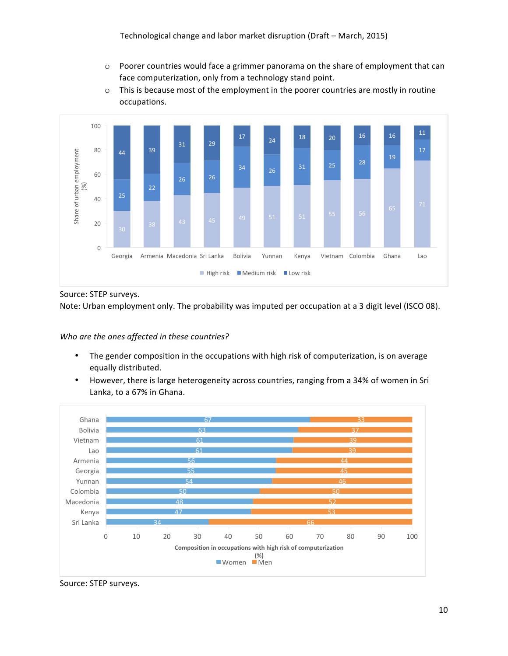- $\circ$  Poorer countries would face a grimmer panorama on the share of employment that can face computerization, only from a technology stand point.
- $\circ$  This is because most of the employment in the poorer countries are mostly in routine occupations.



Source: STEP surveys.

Note: Urban employment only. The probability was imputed per occupation at a 3 digit level (ISCO 08).

# Who are the ones affected in these countries?

- The gender composition in the occupations with high risk of computerization, is on average equally distributed.
- However, there is large heterogeneity across countries, ranging from a 34% of women in Sri Lanka, to a 67% in Ghana.



Source: STEP surveys.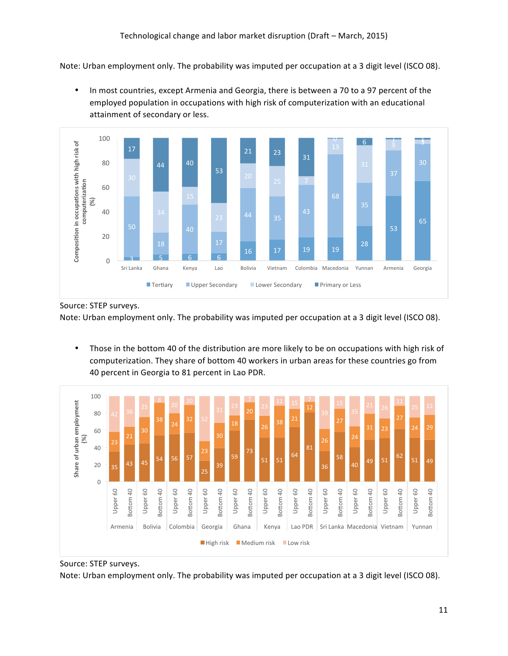Note: Urban employment only. The probability was imputed per occupation at a 3 digit level (ISCO 08).

• In most countries, except Armenia and Georgia, there is between a 70 to a 97 percent of the employed population in occupations with high risk of computerization with an educational attainment of secondary or less.



Source: STEP surveys.

Note: Urban employment only. The probability was imputed per occupation at a 3 digit level (ISCO 08).

• Those in the bottom 40 of the distribution are more likely to be on occupations with high risk of computerization. They share of bottom 40 workers in urban areas for these countries go from 40 percent in Georgia to 81 percent in Lao PDR.



Source: STEP surveys. Note: Urban employment only. The probability was imputed per occupation at a 3 digit level (ISCO 08).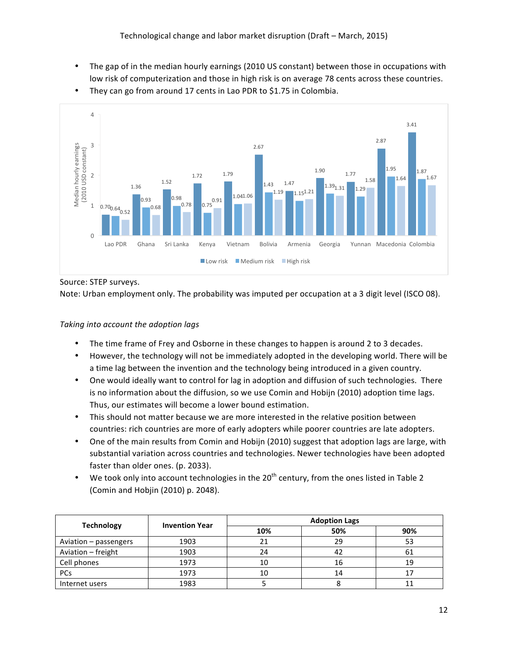The gap of in the median hourly earnings (2010 US constant) between those in occupations with low risk of computerization and those in high risk is on average 78 cents across these countries.



• They can go from around 17 cents in Lao PDR to \$1.75 in Colombia.

Source: STEP surveys.

Note: Urban employment only. The probability was imputed per occupation at a 3 digit level (ISCO 08).

### **Taking into account the adoption lags**

- The time frame of Frey and Osborne in these changes to happen is around 2 to 3 decades.
- However, the technology will not be immediately adopted in the developing world. There will be a time lag between the invention and the technology being introduced in a given country.
- One would ideally want to control for lag in adoption and diffusion of such technologies. There is no information about the diffusion, so we use Comin and Hobijn (2010) adoption time lags. Thus, our estimates will become a lower bound estimation.
- This should not matter because we are more interested in the relative position between countries: rich countries are more of early adopters while poorer countries are late adopters.
- One of the main results from Comin and Hobijn (2010) suggest that adoption lags are large, with substantial variation across countries and technologies. Newer technologies have been adopted faster than older ones. (p. 2033).
- We took only into account technologies in the  $20^{th}$  century, from the ones listed in Table 2 (Comin and Hobjin (2010) p. 2048).

|                       | <b>Invention Year</b> | <b>Adoption Lags</b> |     |     |  |
|-----------------------|-----------------------|----------------------|-----|-----|--|
| <b>Technology</b>     |                       | 10%                  | 50% | 90% |  |
| Aviation - passengers | 1903                  | 21                   | 29  | 53  |  |
| Aviation - freight    | 1903                  | 24                   | 42  | 61  |  |
| Cell phones           | 1973                  | 10                   | 16  | 19  |  |
| <b>PCs</b>            | 1973                  | 10                   | 14  |     |  |
| Internet users        | 1983                  |                      |     |     |  |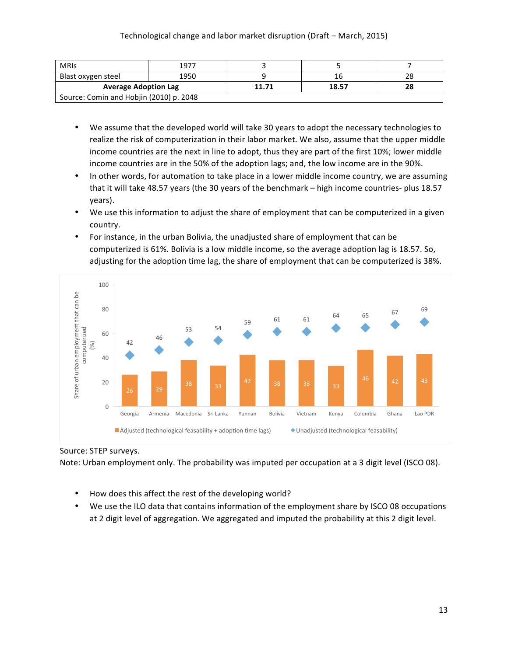| <b>MRIS</b>                             | 1977 |       |       |    |
|-----------------------------------------|------|-------|-------|----|
| Blast oxygen steel                      | 1950 |       |       |    |
| <b>Average Adoption Lag</b>             |      | 11.71 | 18.57 | 28 |
| Source: Comin and Hobjin (2010) p. 2048 |      |       |       |    |

- We assume that the developed world will take 30 years to adopt the necessary technologies to realize the risk of computerization in their labor market. We also, assume that the upper middle income countries are the next in line to adopt, thus they are part of the first 10%; lower middle income countries are in the 50% of the adoption lags; and, the low income are in the 90%.
- In other words, for automation to take place in a lower middle income country, we are assuming that it will take 48.57 years (the 30 years of the benchmark – high income countries- plus 18.57 years).
- We use this information to adjust the share of employment that can be computerized in a given country.
- For instance, in the urban Bolivia, the unadjusted share of employment that can be computerized is 61%. Bolivia is a low middle income, so the average adoption lag is 18.57. So, adjusting for the adoption time lag, the share of employment that can be computerized is 38%.



Source: STEP surveys.

Note: Urban employment only. The probability was imputed per occupation at a 3 digit level (ISCO 08).

- How does this affect the rest of the developing world?
- We use the ILO data that contains information of the employment share by ISCO 08 occupations at 2 digit level of aggregation. We aggregated and imputed the probability at this 2 digit level.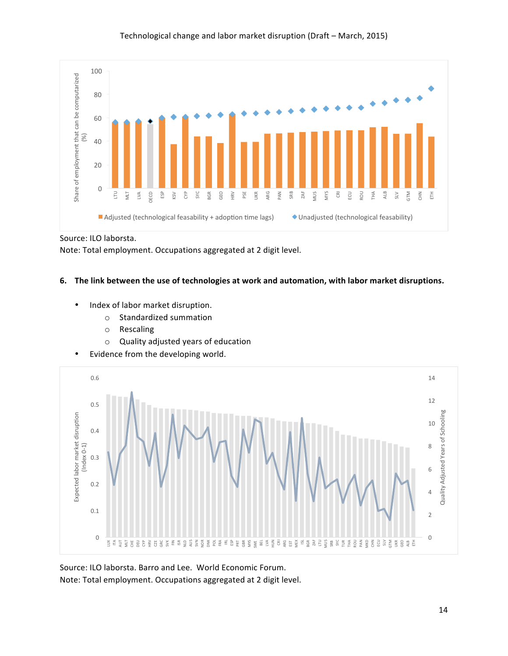

## Technological change and labor market disruption (Draft - March, 2015)

Source: ILO laborsta.

Note: Total employment. Occupations aggregated at 2 digit level.

## 6. The link between the use of technologies at work and automation, with labor market disruptions.

- Index of labor market disruption.
	- $\circ$  Standardized summation
	- o Rescaling
	- $\circ$  Quality adjusted years of education
- Evidence from the developing world.



Source: ILO laborsta. Barro and Lee. World Economic Forum. Note: Total employment. Occupations aggregated at 2 digit level.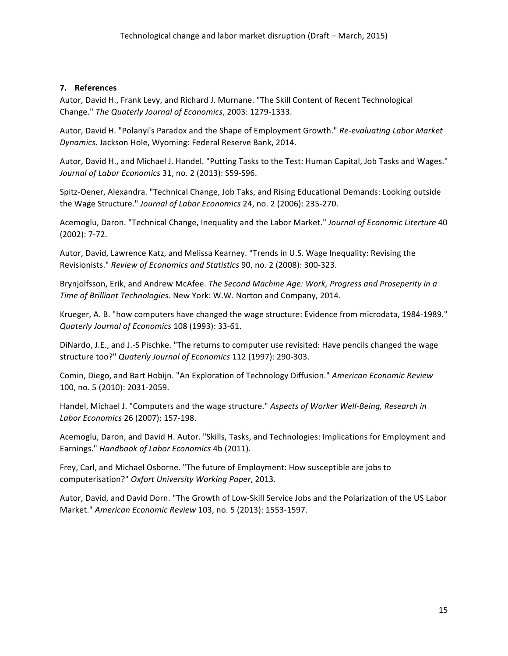# **7. References**

Autor, David H., Frank Levy, and Richard J. Murnane. "The Skill Content of Recent Technological Change." *The Quaterly Journal of Economics*, 2003: 1279-1333.

Autor, David H. "Polanyi's Paradox and the Shape of Employment Growth." Re-evaluating Labor Market Dynamics. Jackson Hole, Wyoming: Federal Reserve Bank, 2014.

Autor, David H., and Michael J. Handel. "Putting Tasks to the Test: Human Capital, Job Tasks and Wages." *Journal of Labor Economics* 31, no. 2 (2013): S59-S96.

Spitz-Oener, Alexandra. "Technical Change, Job Taks, and Rising Educational Demands: Looking outside the Wage Structure." Journal of Labor Economics 24, no. 2 (2006): 235-270.

Acemoglu, Daron. "Technical Change, Inequality and the Labor Market." Journal of Economic Literture 40  $(2002): 7-72.$ 

Autor, David, Lawrence Katz, and Melissa Kearney. "Trends in U.S. Wage Inequality: Revising the Revisionists." *Review of Economics and Statistics* 90, no. 2 (2008): 300-323.

Brynjolfsson, Erik, and Andrew McAfee. *The Second Machine Age: Work, Progress and Proseperity in a Time of Brilliant Technologies.* New York: W.W. Norton and Company, 2014.

Krueger, A. B. "how computers have changed the wage structure: Evidence from microdata, 1984-1989." *Quaterly Journal of Economics* 108 (1993): 33-61.

DiNardo, J.E., and J.-S Pischke. "The returns to computer use revisited: Have pencils changed the wage structure too?" Quaterly Journal of Economics 112 (1997): 290-303.

Comin, Diego, and Bart Hobijn. "An Exploration of Technology Diffusion." American Economic Review 100, no. 5 (2010): 2031-2059.

Handel, Michael J. "Computers and the wage structure." Aspects of Worker Well-Being, Research in *Labor Economics* 26 (2007): 157-198.

Acemoglu, Daron, and David H. Autor. "Skills, Tasks, and Technologies: Implications for Employment and Earnings." *Handbook of Labor Economics* 4b (2011).

Frey, Carl, and Michael Osborne. "The future of Employment: How susceptible are jobs to computerisation?" *Oxfort University Working Paper*, 2013.

Autor, David, and David Dorn. "The Growth of Low-Skill Service Jobs and the Polarization of the US Labor Market." *American Economic Review* 103, no. 5 (2013): 1553-1597.